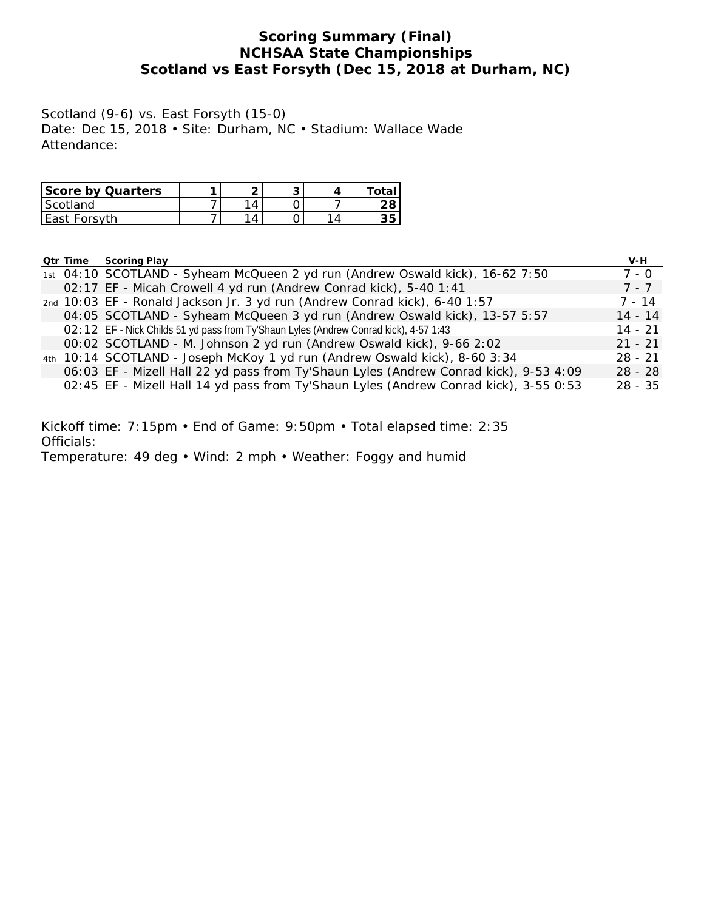## **Scoring Summary (Final) NCHSAA State Championships Scotland vs East Forsyth (Dec 15, 2018 at Durham, NC)**

Scotland (9-6) vs. East Forsyth (15-0) Date: Dec 15, 2018 • Site: Durham, NC • Stadium: Wallace Wade Attendance:

| Score by Quarters |   | ◡ |    |
|-------------------|---|---|----|
| l Scotland        |   |   |    |
| East Forsyth      | Δ |   | っに |

| Qtr Time | Scoring Play                                                                          | $V-H$     |
|----------|---------------------------------------------------------------------------------------|-----------|
|          | 1st 04:10 SCOTLAND - Syheam McQueen 2 yd run (Andrew Oswald kick), 16-62 7:50         | 7 - 0     |
|          | 02:17 EF - Micah Crowell 4 yd run (Andrew Conrad kick), 5-40 1:41                     | 7 - 7     |
|          | 2nd 10:03 EF - Ronald Jackson Jr. 3 yd run (Andrew Conrad kick), 6-40 1:57            | $7 - 14$  |
|          | 04:05 SCOTLAND - Syheam McQueen 3 yd run (Andrew Oswald kick), 13-57 5:57             | $14 - 14$ |
|          | O2:12 EF - Nick Childs 51 yd pass from Ty'Shaun Lyles (Andrew Conrad kick), 4-57 1:43 | $14 - 21$ |
|          | 00:02 SCOTLAND - M. Johnson 2 yd run (Andrew Oswald kick), 9-66 2:02                  | $21 - 21$ |
|          | 4th 10:14 SCOTLAND - Joseph McKoy 1 yd run (Andrew Oswald kick), 8-60 3:34            | $28 - 21$ |
|          | 06:03 EF - Mizell Hall 22 yd pass from Ty'Shaun Lyles (Andrew Conrad kick), 9-53 4:09 | $28 - 28$ |
|          | 02:45 EF - Mizell Hall 14 yd pass from Ty'Shaun Lyles (Andrew Conrad kick), 3-55 0:53 | $28 - 35$ |

Kickoff time: 7:15pm • End of Game: 9:50pm • Total elapsed time: 2:35 Officials: Temperature: 49 deg • Wind: 2 mph • Weather: Foggy and humid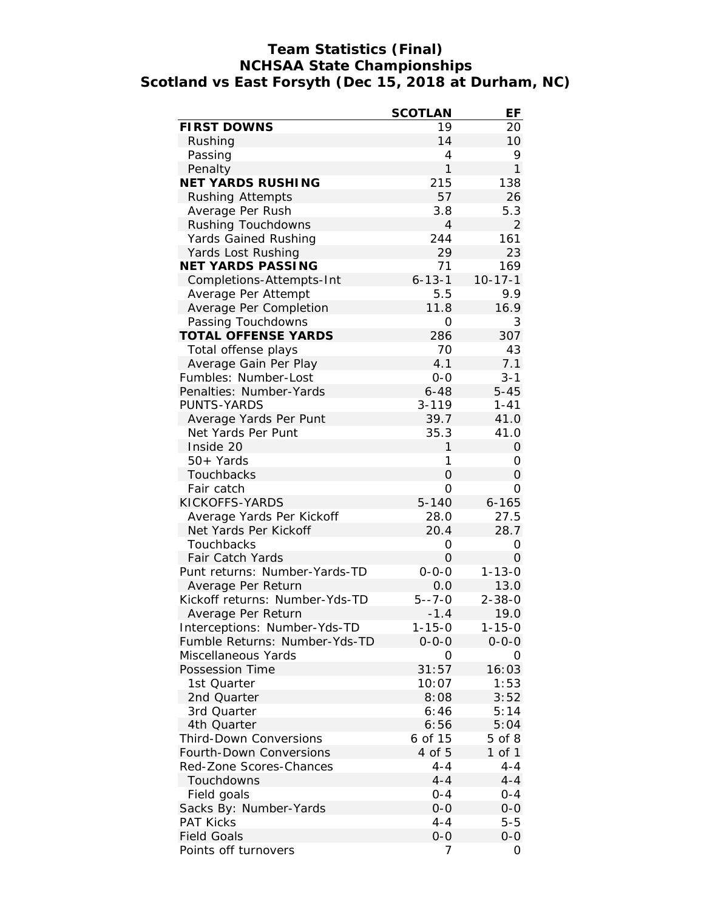## **Team Statistics (Final) NCHSAA State Championships Scotland vs East Forsyth (Dec 15, 2018 at Durham, NC)**

|                                | <b>SCOTLAN</b> | ЕF            |
|--------------------------------|----------------|---------------|
| <b>FIRST DOWNS</b>             | 19             | 20            |
| Rushing                        | 14             | 10            |
| Passing                        | 4              | 9             |
| Penalty                        | 1              | $\mathbf{1}$  |
| NET YARDS RUSHING              | 215            | 138           |
| Rushing Attempts               | 57             | 26            |
| Average Per Rush               | 3.8            | 5.3           |
| Rushing Touchdowns             | $\overline{4}$ | 2             |
| Yards Gained Rushing           | 244            | 161           |
| Yards Lost Rushing             | 29             | 23            |
| NET YARDS PASSING              | 71             | 169           |
| Completions-Attempts-Int       | $6 - 13 - 1$   | $10 - 17 - 1$ |
| Average Per Attempt            | 5.5            | 9.9           |
| Average Per Completion         | 11.8           | 16.9          |
| Passing Touchdowns             | 0              | 3             |
| TOTAL OFFENSE YARDS            | 286            | 307           |
| Total offense plays            | 70             | 43            |
| Average Gain Per Play          | 4.1            | 7.1           |
| Fumbles: Number-Lost           | $0 - 0$        | $3 - 1$       |
| Penalties: Number-Yards        | $6 - 48$       | $5 - 45$      |
| PUNTS-YARDS                    | $3 - 119$      | $1 - 41$      |
| Average Yards Per Punt         | 39.7           | 41.0          |
| Net Yards Per Punt             | 35.3           | 41.0          |
| Inside 20                      | 1              | 0             |
| 50+ Yards                      | 1              | 0             |
| Touchbacks                     | 0              | 0             |
| Fair catch                     | 0              | 0             |
| KICKOFFS-YARDS                 | $5 - 140$      | $6 - 165$     |
| Average Yards Per Kickoff      | 28.0           | 27.5          |
| Net Yards Per Kickoff          | 20.4           | 28.7          |
| Touchbacks                     | 0              | 0             |
| Fair Catch Yards               | 0              | 0             |
| Punt returns: Number-Yards-TD  | $0 - 0 - 0$    | $1 - 13 - 0$  |
| Average Per Return             | 0.0            | 13.0          |
| Kickoff returns: Number-Yds-TD | $5 - -7 - 0$   | $2 - 38 - 0$  |
| Average Per Return             | $-1.4$         | 19.0          |
| Interceptions: Number-Yds-TD   | 1-15-0         | 1-15-0        |
| Fumble Returns: Number-Yds-TD  | $0 - 0 - 0$    | $0 - 0 - 0$   |
| Miscellaneous Yards            | O              | 0             |
| Possession Time                | 31:57          | 16:03         |
| 1st Quarter                    | 10:07          | 1:53          |
| 2nd Quarter                    | 8:08           | 3:52          |
| 3rd Quarter                    | 6:46           | 5:14          |
| 4th Quarter                    | 6:56           | 5:04          |
| <b>Third-Down Conversions</b>  | 6 of 15        | 5 of 8        |
| Fourth-Down Conversions        | 4 of 5         | $1$ of $1$    |
| Red-Zone Scores-Chances        | $4 - 4$        | $4 - 4$       |
| Touchdowns                     | $4 - 4$        | $4 - 4$       |
| Field goals                    | $0 - 4$        | $0 - 4$       |
| Sacks By: Number-Yards         | $0 - 0$        | $0 - 0$       |
| <b>PAT Kicks</b>               | $4 - 4$        | $5 - 5$       |
| <b>Field Goals</b>             | $O-O$          | $0 - 0$       |
| Points off turnovers           | 7              | 0             |
|                                |                |               |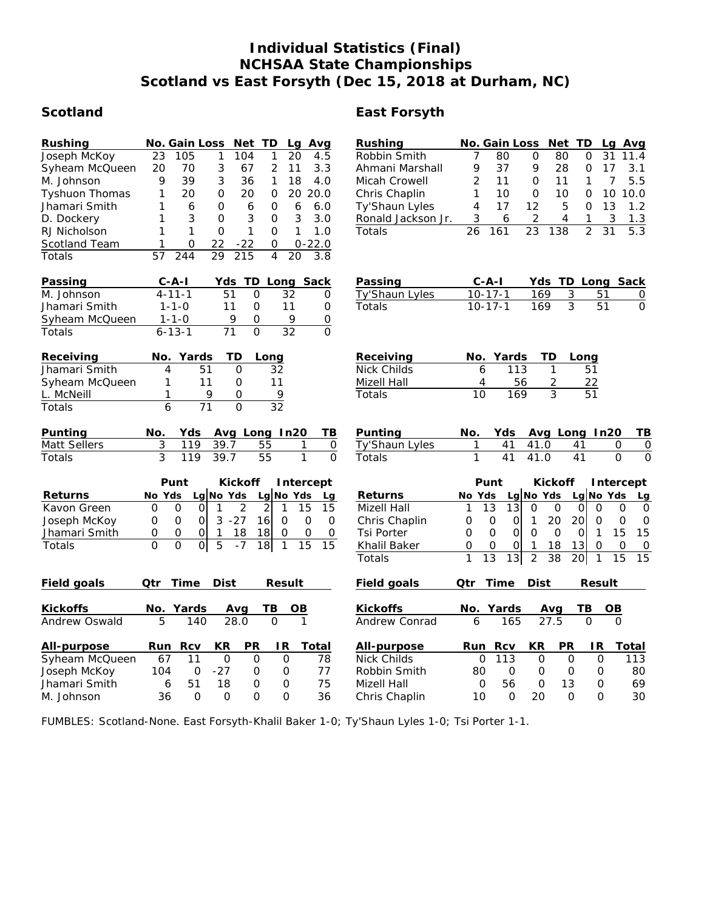# **Individual Statistics (Final) NCHSAA State Championships Scotland vs East Forsyth (Dec 15, 2018 at Durham, NC)**

# **Scotland East Forsyth**

| Rushing               | No. Gain Loss<br>Net<br>TD.<br>Avg<br>Lg                                                                      | Rushing            | Net TD<br>No. Gain Loss<br>Lg Avg                                                                                                          |
|-----------------------|---------------------------------------------------------------------------------------------------------------|--------------------|--------------------------------------------------------------------------------------------------------------------------------------------|
| Joseph McKoy          | 23<br>105<br>1<br>104<br>1<br>20<br>4.5                                                                       | Robbin Smith       | 7<br>$\Omega$<br>31<br>80<br>80<br>0<br>11.4                                                                                               |
| Syheam McQueen        | 3<br>$\overline{2}$<br>20<br>67<br>3.3<br>70<br>11                                                            | Ahmani Marshall    | 9<br>9<br>37<br>28<br>17<br>3.1<br>0                                                                                                       |
| M. Johnson            | 9<br>39<br>3<br>36<br>1<br>18<br>4.0                                                                          | Micah Crowell      | 5.5<br>2<br>11<br>$\mathsf{O}\xspace$<br>11<br>1<br>7                                                                                      |
| <b>Tyshuon Thomas</b> | 1<br>20<br>$\Omega$<br>20<br>$\Omega$<br>20<br>20.0                                                           | Chris Chaplin      | $\overline{O}$<br>10<br>1<br>10<br>10<br>10.0<br>0                                                                                         |
| Jhamari Smith         | 1<br>6<br>O<br>6<br>$\mathbf 0$<br>6<br>6.0                                                                   | Ty'Shaun Lyles     | 4<br>17<br>12<br>5<br>$\overline{O}$<br>13<br>1.2                                                                                          |
| D. Dockery            | 3<br>3<br>1<br>3<br>$\Omega$<br>$\mathbf{O}$<br>3.0                                                           | Ronald Jackson Jr. | 6<br>2<br>$\overline{4}$<br>$\mathbf{1}$<br>3<br>1.3<br>3                                                                                  |
| RJ Nicholson          | $\mathbf{1}$<br>$\overline{O}$<br>$\mathbf{1}$<br>$\mathbf{1}$<br>1<br>$\Omega$<br>1.0                        | Totals             | $\overline{23}$<br>$\overline{2}$<br>$\overline{31}$<br>$\overline{5.3}$<br>161<br>138<br>26                                               |
| Scotland Team         | $\Omega$<br>22<br>$0 - 22.0$<br>$-22$<br>0                                                                    |                    |                                                                                                                                            |
| Totals                | 244<br>29<br>215<br>4<br>20<br>3.8<br>57                                                                      |                    |                                                                                                                                            |
| Passing               | $C-A-I$<br>Yds<br>TD.<br>Long Sack                                                                            | Passing            | Yds TD Long Sack<br>C-A-I                                                                                                                  |
| M. Johnson            | $4 - 11 - 1$<br>51<br>$\Omega$<br>32<br>0                                                                     | Ty'Shaun Lyles     | $10 - 17 - 1$<br>169<br>3<br>51<br>0                                                                                                       |
| Jhamari Smith         | $1 - 1 - 0$<br>11<br>$\mathbf 0$<br>11<br>0                                                                   | Totals             | $\overline{3}$<br>$10 - 17 - 1$<br>169<br>51<br>$\Omega$                                                                                   |
| Syheam McQueen        | 9<br>$\Omega$<br>9<br>0<br>$1 - 1 - 0$                                                                        |                    |                                                                                                                                            |
| Totals                | $6 - 13 - 1$<br>71<br>$\overline{0}$<br>32<br>0                                                               |                    |                                                                                                                                            |
| Receiving             | No. Yards<br>TD<br>Long                                                                                       | Receiving          | No. Yards<br>TD<br>Long                                                                                                                    |
| Jhamari Smith         | 4<br>51<br>$\overline{O}$<br>32                                                                               | <b>Nick Childs</b> | 6<br>113<br>1<br>51                                                                                                                        |
| Syheam McQueen        | 11<br>11<br>1<br>$\mathbf 0$                                                                                  | Mizell Hall        | 4<br>56<br>2<br>22                                                                                                                         |
| L. McNeill            | 1<br>9<br>$\mathbf{O}$<br>9                                                                                   | Totals             | $\overline{3}$<br>$\overline{51}$<br>10<br>169                                                                                             |
| Totals                | 6<br>$\overline{71}$<br>$\overline{32}$<br>$\overline{O}$                                                     |                    |                                                                                                                                            |
| Punting               | Avg Long In20<br>No.<br>Yds<br>TВ                                                                             | Punting            | Avg Long In20<br>No.<br>Yds<br>TВ                                                                                                          |
| Matt Sellers          | 3<br>119<br>39.7<br>55<br>1<br>$\mathbf 0$                                                                    | Ty'Shaun Lyles     | 1<br>41<br>41.0<br>41<br>$\mathsf{O}\xspace$<br>$\circ$                                                                                    |
| Totals                | $\overline{3}$<br>$\overline{1}$<br>39.7<br>$\overline{O}$<br>119<br>55                                       | Totals             | $\mathbf{1}$<br>$\overline{41}$<br>41.0<br>$\overline{41}$<br>$\overline{0}$<br>$\Omega$                                                   |
|                       |                                                                                                               |                    |                                                                                                                                            |
|                       | Punt<br>Kickoff<br>Intercept                                                                                  |                    | Punt<br>Kickoff<br>Intercept                                                                                                               |
| Returns               | Lg No Yds<br>No Yds<br>No Yds<br>Lq<br>Lq                                                                     | Returns            | $Lg$ No Yds<br>Lg No Yds<br>No Yds<br>Lg                                                                                                   |
| Kavon Green           | $\overline{2}$<br>$\overline{2}$<br>$\Omega$<br>15<br>15<br>O<br>$\circ$<br>1<br>1                            | Mizell Hall        | 13<br>13<br>$\mathbf 0$<br>1<br>0<br>$\circ$<br>$\circ$<br>$\mathbf 0$<br>0                                                                |
| Joseph McKoy          | $3 - 27$<br>16<br>$\overline{O}$<br>$\overline{O}$<br>$\mathbf 0$<br>$\mathbf 0$<br>$\Omega$<br>$\mathcal{O}$ | Chris Chaplin      | $\mathbf 0$<br>20<br>20<br>$\overline{0}$<br>$\mathbf 0$<br>$\mathbf 0$<br>$\mathbf{1}$<br>$\circ$<br>$\overline{O}$                       |
| Jhamari Smith         | 0<br>$\circ$<br>18<br>18<br>0<br>$\circ$<br>0<br>0<br>$\mathbf{1}$                                            | <b>Tsi Porter</b>  | $\overline{O}$<br>$\Omega$<br>15<br>15<br>$\Omega$<br>$\Omega$<br>$\overline{O}$<br>$\mathbf{1}$<br>$\Omega$                               |
| Totals                | $\overline{O}$<br>$\overline{0}$<br>5<br>$\Omega$<br>$-7$<br>18<br>15<br>15<br>1                              | Khalil Baker       | 13<br>$\mathbf 0$<br>$\mathbf 0$<br>1<br>18<br>0<br>0<br>$\mathbf 0$<br>0                                                                  |
|                       |                                                                                                               | Totals             | $\overline{15}$<br>1<br>$\overline{13}$<br>$\overline{13}$<br>$\overline{2}$<br>$\overline{38}$<br>$\overline{20}$<br>$\overline{15}$<br>1 |
| Field goals           | Qtr<br>Time<br>Dist<br>Result                                                                                 | Field goals        | Qtr<br>Time<br>Dist<br>Result                                                                                                              |
| Kickoffs              | No.<br>Yards<br>TВ<br>OB<br>Avg                                                                               | Kickoffs           | No.<br>Yards<br>Avg<br>ΤВ<br>OВ                                                                                                            |
| Andrew Oswald         | 28.0<br>5<br>140<br>$\Omega$<br>$\mathbf{1}$                                                                  | Andrew Conrad      | 27.5<br>165<br>$\Omega$<br>$\Omega$<br>6                                                                                                   |
| All-purpose           | KR<br>PR<br>Rcv<br>IR<br><b>Total</b><br>Run                                                                  | All-purpose        | PR<br>Rcv<br>ΚR<br>IR.<br><b>Total</b><br>Run                                                                                              |
| Syheam McQueen        | 67<br>11<br>$\circ$<br>$\circ$<br>0<br>78                                                                     | <b>Nick Childs</b> | 113<br>O<br>O<br>$\mathbf 0$<br>113<br>0                                                                                                   |
| Joseph McKoy          | 104<br>$-27$<br>$\Omega$<br>77<br>$\mathcal{O}$<br>O                                                          | Robbin Smith       | 80<br>$\Omega$<br>$\Omega$<br>$\Omega$<br>$\Omega$<br>80                                                                                   |
| Jhamari Smith         | 51<br>18<br>75<br>6<br>0<br>0                                                                                 | Mizell Hall        | 56<br>13<br>69<br>0<br>$\Omega$<br>O                                                                                                       |
| M. Johnson            | 36<br>$\Omega$<br>$\Omega$<br>$\Omega$<br>$\Omega$<br>36                                                      | Chris Chaplin      | 20<br>$\Omega$<br>30<br>10<br>$\Omega$<br>$\Omega$                                                                                         |

FUMBLES: Scotland-None. East Forsyth-Khalil Baker 1-0; Ty'Shaun Lyles 1-0; Tsi Porter 1-1.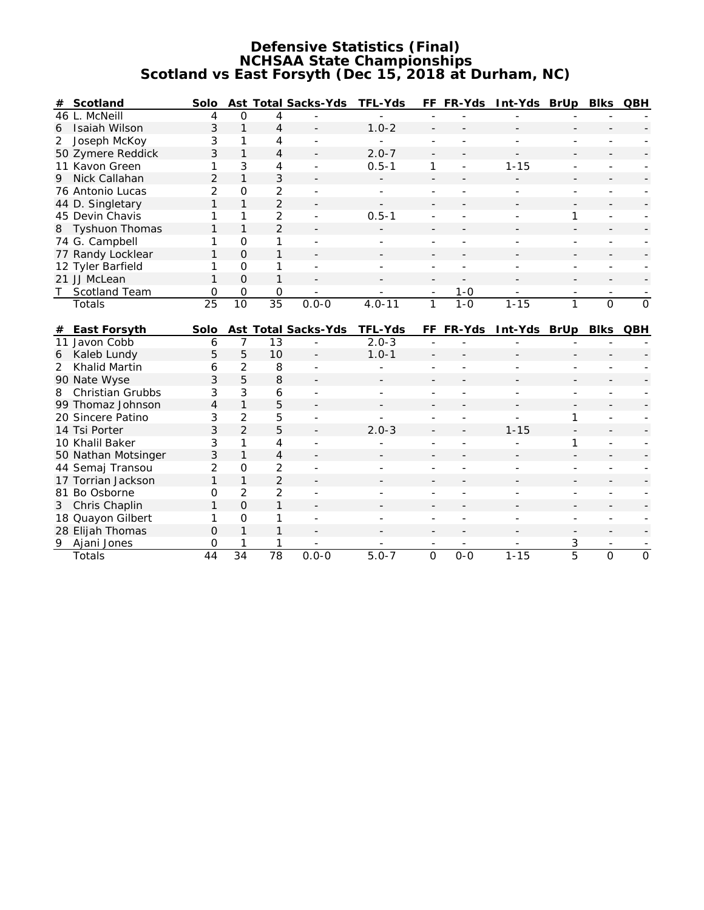## **Defensive Statistics (Final) NCHSAA State Championships Scotland vs East Forsyth (Dec 15, 2018 at Durham, NC)**

| #              | Scotland              | Solo            |                |                 | Ast Total Sacks-Yds      | TFL-Yds    |                          | FF FR-Yds | Int-Yds BrUp           |                          | <b>Blks</b>              | QBH            |
|----------------|-----------------------|-----------------|----------------|-----------------|--------------------------|------------|--------------------------|-----------|------------------------|--------------------------|--------------------------|----------------|
|                | 46 L. McNeill         | 4               | $\mathbf 0$    | 4               |                          |            |                          |           |                        |                          |                          |                |
| 6              | Isaiah Wilson         | 3               | $\mathbf{1}$   | 4               |                          | $1.0 - 2$  |                          |           |                        |                          |                          |                |
| 2              | Joseph McKoy          | 3               | 1              | 4               |                          |            |                          |           |                        |                          |                          |                |
|                | 50 Zymere Reddick     | 3               | $\mathbf{1}$   | 4               |                          | $2.0 - 7$  |                          |           |                        |                          |                          |                |
|                | 11 Kavon Green        | 1               | 3              | 4               | $\overline{\phantom{a}}$ | $0.5 - 1$  | 1                        |           | $1 - 15$               |                          | $\overline{a}$           |                |
| 9              | Nick Callahan         | $\overline{2}$  | $\mathbf{1}$   | 3               |                          |            |                          |           |                        |                          |                          |                |
|                | 76 Antonio Lucas      | 2               | $\Omega$       | 2               |                          |            | $\overline{\phantom{a}}$ |           |                        | $\overline{\phantom{a}}$ | $\overline{\phantom{a}}$ |                |
|                | 44 D. Singletary      | 1               | $\mathbf{1}$   | $\overline{2}$  |                          |            |                          |           |                        |                          |                          |                |
|                | 45 Devin Chavis       | 1               | 1              | 2               | $\overline{\phantom{a}}$ | $0.5 - 1$  |                          |           |                        | 1                        | $\blacksquare$           |                |
| 8              | <b>Tyshuon Thomas</b> | 1               | $\mathbf{1}$   | $\overline{2}$  |                          |            |                          |           |                        |                          |                          |                |
|                | 74 G. Campbell        | 1               | $\Omega$       | 1               | $\overline{\phantom{a}}$ |            |                          |           |                        |                          | $\blacksquare$           |                |
|                | 77 Randy Locklear     | 1               | $\Omega$       | 1               |                          |            |                          |           |                        |                          |                          |                |
|                | 12 Tyler Barfield     | 1               | $\Omega$       | 1               |                          |            |                          |           |                        |                          |                          |                |
|                | 21 JJ McLean          | 1               | $\overline{O}$ | 1               |                          |            |                          |           |                        |                          |                          |                |
| T              | Scotland Team         | 0               | $\Omega$       | 0               |                          |            | $\overline{\phantom{a}}$ | $1 - 0$   |                        | $\overline{\phantom{a}}$ | $\overline{\phantom{a}}$ |                |
|                | Totals                | $\overline{25}$ | 10             | $\overline{35}$ | $0.0 - 0$                | $4.0 - 11$ | 1                        | $1 - 0$   | $1 - 15$               | 1                        | $\overline{0}$           | $\overline{0}$ |
|                |                       |                 |                |                 |                          |            |                          |           |                        |                          |                          |                |
| #              | East Forsyth          | Solo            |                |                 | Ast Total Sacks-Yds      | TFL-Yds    |                          |           | FF FR-Yds Int-Yds BrUp |                          | <b>Blks</b>              | QBH            |
|                | 11 Javon Cobb         | 6               | 7              | 13              |                          | $2.0 - 3$  |                          |           |                        |                          |                          |                |
| 6              | Kaleb Lundy           | 5               | 5              | 10              |                          | $1.0 - 1$  |                          |           |                        |                          |                          |                |
| $\overline{2}$ | Khalid Martin         | 6               | $\overline{2}$ | 8               | $\overline{a}$           |            |                          |           |                        |                          |                          |                |
|                | 90 Nate Wyse          | 3               | 5              | 8               |                          |            |                          |           |                        |                          |                          |                |
| 8              | Christian Grubbs      | 3               | 3              | 6               |                          |            |                          |           |                        |                          |                          |                |
|                | 99 Thomaz Johnson     | $\overline{4}$  | $\mathbf{1}$   | 5               |                          |            |                          |           |                        |                          |                          |                |
|                | 20 Sincere Patino     | 3               | $\overline{2}$ | 5               |                          |            |                          |           | ÷.                     | 1                        |                          |                |
|                | 14 Tsi Porter         | 3               | $\overline{2}$ | 5               |                          | $2.0 - 3$  |                          |           | $1 - 15$               |                          |                          |                |
|                | 10 Khalil Baker       | 3               | 1              | 4               |                          |            |                          |           |                        | 1                        |                          |                |
|                | 50 Nathan Motsinger   | 3               | $\mathbf{1}$   | 4               |                          |            |                          |           |                        |                          |                          |                |
|                | 44 Semaj Transou      | 2               | $\Omega$       | 2               |                          |            |                          |           |                        |                          |                          |                |
|                | 17 Torrian Jackson    | 1               | $\mathbf{1}$   | $\overline{2}$  |                          |            |                          |           |                        |                          |                          |                |
|                | 81 Bo Osborne         | O               | $\overline{2}$ | 2               |                          |            |                          |           |                        |                          |                          |                |
| 3              | Chris Chaplin         | 1               | $\Omega$       | 1               |                          |            |                          |           |                        |                          |                          |                |
|                | 18 Quayon Gilbert     | 1               | O              | 1               |                          |            |                          |           |                        |                          |                          |                |
|                | 28 Elijah Thomas      | $\Omega$        | $\mathbf{1}$   | 1               |                          |            |                          |           |                        |                          |                          |                |
|                | 9 Ajani Jones         | O               | 1              | 1               |                          |            |                          |           |                        | 3                        |                          |                |
|                | <b>Totals</b>         | 44              | 34             | $\overline{78}$ | $0.0 - 0$                | $5.0 - 7$  | $\overline{O}$           | $0 - 0$   | $1 - 15$               | $\overline{5}$           | $\overline{O}$           | $\overline{O}$ |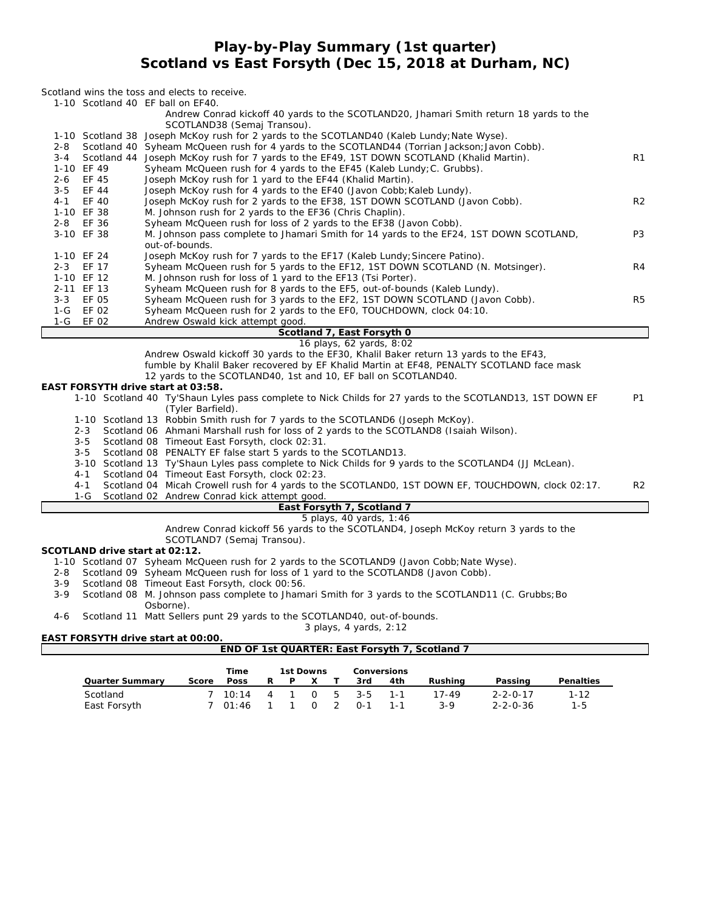## **Play-by-Play Summary (1st quarter) Scotland vs East Forsyth (Dec 15, 2018 at Durham, NC)**

#### *Scotland wins the toss and elects to receive.*

1-10 Scotland 40 EF ball on EF40.

|         |                                | 1-10 Scotland 40 LF ball on LF40.<br>Andrew Conrad kickoff 40 yards to the SCOTLAND20, Jhamari Smith return 18 yards to the   |                |
|---------|--------------------------------|-------------------------------------------------------------------------------------------------------------------------------|----------------|
|         |                                | SCOTLAND38 (Semaj Transou).                                                                                                   |                |
|         |                                | 1-10 Scotland 38 Joseph McKoy rush for 2 yards to the SCOTLAND40 (Kaleb Lundy; Nate Wyse).                                    |                |
| 2-8     |                                | Scotland 40 Syheam McQueen rush for 4 yards to the SCOTLAND44 (Torrian Jackson; Javon Cobb).                                  |                |
| 3-4     |                                | Scotland 44 Joseph McKoy rush for 7 yards to the EF49, 1ST DOWN SCOTLAND (Khalid Martin).                                     | R <sub>1</sub> |
|         | 1-10 EF 49                     | Syheam McQueen rush for 4 yards to the EF45 (Kaleb Lundy; C. Grubbs).                                                         |                |
| $2 - 6$ | EF 45                          | Joseph McKoy rush for 1 yard to the EF44 (Khalid Martin).                                                                     |                |
| $3 - 5$ | EF 44                          | Joseph McKoy rush for 4 yards to the EF40 (Javon Cobb; Kaleb Lundy).                                                          |                |
| $4 - 1$ | EF 40                          | Joseph McKoy rush for 2 yards to the EF38, 1ST DOWN SCOTLAND (Javon Cobb).                                                    | R <sub>2</sub> |
|         | 1-10 EF 38                     | M. Johnson rush for 2 yards to the EF36 (Chris Chaplin).                                                                      |                |
|         | 2-8 EF 36                      | Syheam McQueen rush for loss of 2 yards to the EF38 (Javon Cobb).                                                             |                |
|         | 3-10 EF 38                     | M. Johnson pass complete to Jhamari Smith for 14 yards to the EF24, 1ST DOWN SCOTLAND,<br>out-of-bounds.                      | P <sub>3</sub> |
|         | 1-10 EF 24                     | Joseph McKoy rush for 7 yards to the EF17 (Kaleb Lundy; Sincere Patino).                                                      |                |
|         | 2-3 EF 17                      | Syheam McQueen rush for 5 yards to the EF12, 1ST DOWN SCOTLAND (N. Motsinger).                                                | R4             |
|         | 1-10 EF 12                     | M. Johnson rush for loss of 1 yard to the EF13 (Tsi Porter).                                                                  |                |
|         | 2-11 EF 13                     | Syheam McQueen rush for 8 yards to the EF5, out-of-bounds (Kaleb Lundy).                                                      |                |
|         | 3-3 EF 05                      | Syheam McQueen rush for 3 yards to the EF2, 1ST DOWN SCOTLAND (Javon Cobb).                                                   | R <sub>5</sub> |
| 1-G     | EF 02                          | Syheam McQueen rush for 2 yards to the EFO, TOUCHDOWN, clock 04:10.                                                           |                |
| 1-G     | EF 02                          | Andrew Oswald kick attempt good.                                                                                              |                |
|         |                                | Scotland 7, East Forsyth 0                                                                                                    |                |
|         |                                | 16 plays, 62 yards, 8:02                                                                                                      |                |
|         |                                | Andrew Oswald kickoff 30 yards to the EF30, Khalil Baker return 13 yards to the EF43,                                         |                |
|         |                                | fumble by Khalil Baker recovered by EF Khalid Martin at EF48, PENALTY SCOTLAND face mask                                      |                |
|         |                                | 12 yards to the SCOTLAND40, 1st and 10, EF ball on SCOTLAND40.                                                                |                |
|         |                                | EAST FORSYTH drive start at 03:58.                                                                                            |                |
|         |                                | 1-10 Scotland 40 Ty'Shaun Lyles pass complete to Nick Childs for 27 yards to the SCOTLAND13, 1ST DOWN EF<br>(Tyler Barfield). | <b>P1</b>      |
|         |                                | 1-10 Scotland 13 Robbin Smith rush for 7 yards to the SCOTLAND6 (Joseph McKoy).                                               |                |
|         | $2 - 3$                        | Scotland 06 Ahmani Marshall rush for loss of 2 yards to the SCOTLAND8 (Isaiah Wilson).                                        |                |
|         | 3-5                            | Scotland 08 Timeout East Forsyth, clock 02:31.                                                                                |                |
|         | $3 - 5$                        | Scotland 08 PENALTY EF false start 5 yards to the SCOTLAND13.                                                                 |                |
|         |                                | 3-10 Scotland 13 Ty'Shaun Lyles pass complete to Nick Childs for 9 yards to the SCOTLAND4 (JJ McLean).                        |                |
|         | 4-1                            | Scotland 04 Timeout East Forsyth, clock 02:23.                                                                                |                |
|         | $4 - 1$                        | Scotland 04 Micah Crowell rush for 4 yards to the SCOTLANDO, 1ST DOWN EF, TOUCHDOWN, clock 02:17.                             | R <sub>2</sub> |
|         | 1-G                            | Scotland 02 Andrew Conrad kick attempt good.                                                                                  |                |
|         |                                | East Forsyth 7, Scotland 7                                                                                                    |                |
|         |                                | 5 plays, 40 yards, 1:46                                                                                                       |                |
|         |                                | Andrew Conrad kickoff 56 yards to the SCOTLAND4, Joseph McKoy return 3 yards to the                                           |                |
|         |                                | SCOTLAND7 (Semaj Transou).                                                                                                    |                |
|         | SCOTLAND drive start at 02:12. |                                                                                                                               |                |
|         |                                | 1-10 Scotland 07 Syheam McQueen rush for 2 yards to the SCOTLAND9 (Javon Cobb; Nate Wyse).                                    |                |
| 2-8     |                                | Scotland 09 Syheam McQueen rush for loss of 1 yard to the SCOTLAND8 (Javon Cobb).                                             |                |

- 3-9 Scotland 08 Timeout East Forsyth, clock 00:56.
- 3-9 Scotland 08 M. Johnson pass complete to Jhamari Smith for 3 yards to the SCOTLAND11 (C. Grubbs; Bo Osborne).

4-6 Scotland 11 Matt Sellers punt 29 yards to the SCOTLAND40, out-of-bounds.

*3 plays, 4 yards, 2:12*

**EAST FORSYTH drive start at 00:00.**

## **END OF 1st QUARTER: East Forsyth 7, Scotland 7**

|                          |       | Time                   |   | 1st Downs |            |                               | Conversions |              |                                      |                     |
|--------------------------|-------|------------------------|---|-----------|------------|-------------------------------|-------------|--------------|--------------------------------------|---------------------|
| Quarter Summary          | Score | Poss                   | R | P         | X          | 3rd                           | 4th         | Rushina      | Passing                              | Penalties           |
| Scotland<br>East Forsyth |       | 7 10:14 4 1<br>7 01:46 |   |           | $0\quad 2$ | $0 \quad 5 \quad 3-5$<br>_ດ-1 | $1 - 1$     | 17-49<br>3-9 | $2 - 2 - 0 - 17$<br>$2 - 2 - 0 - 36$ | $1 - 12$<br>$1 - 5$ |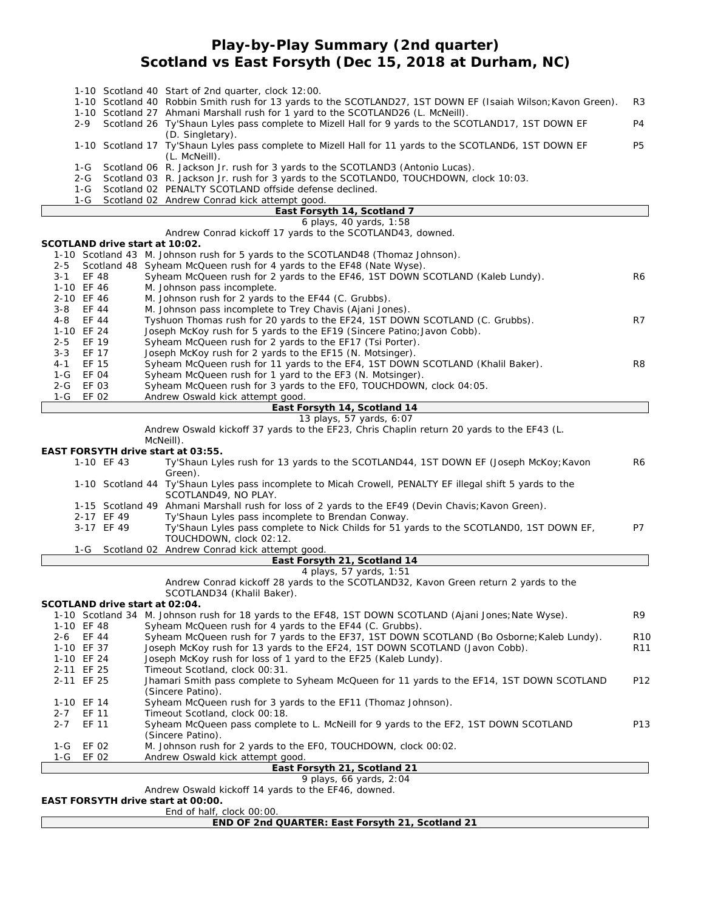## **Play-by-Play Summary (2nd quarter) Scotland vs East Forsyth (Dec 15, 2018 at Durham, NC)**

|                          |                                | 1-10 Scotland 40 Start of 2nd quarter, clock 12:00.<br>1-10 Scotland 40 Robbin Smith rush for 13 yards to the SCOTLAND27, 1ST DOWN EF (Isaiah Wilson; Kavon Green).                                                                                                              | R3              |
|--------------------------|--------------------------------|----------------------------------------------------------------------------------------------------------------------------------------------------------------------------------------------------------------------------------------------------------------------------------|-----------------|
| 2-9                      |                                | 1-10 Scotland 27 Ahmani Marshall rush for 1 yard to the SCOTLAND26 (L. McNeill).<br>Scotland 26 Ty'Shaun Lyles pass complete to Mizell Hall for 9 yards to the SCOTLAND17, 1ST DOWN EF                                                                                           | P4              |
|                          |                                | (D. Singletary).<br>1-10 Scotland 17 Ty'Shaun Lyles pass complete to Mizell Hall for 11 yards to the SCOTLAND6, 1ST DOWN EF<br>(L. McNeill).                                                                                                                                     | P <sub>5</sub>  |
| 1-G<br>2-G<br>1-G<br>1-G |                                | Scotland 06 R. Jackson Jr. rush for 3 yards to the SCOTLAND3 (Antonio Lucas).<br>Scotland 03 R. Jackson Jr. rush for 3 yards to the SCOTLANDO, TOUCHDOWN, clock 10:03.<br>Scotland 02 PENALTY SCOTLAND offside defense declined.<br>Scotland 02 Andrew Conrad kick attempt good. |                 |
|                          |                                | East Forsyth 14, Scotland 7                                                                                                                                                                                                                                                      |                 |
|                          |                                | 6 plays, 40 yards, 1:58                                                                                                                                                                                                                                                          |                 |
|                          |                                | Andrew Conrad kickoff 17 yards to the SCOTLAND43, downed.                                                                                                                                                                                                                        |                 |
|                          | SCOTLAND drive start at 10:02. | 1-10 Scotland 43 M. Johnson rush for 5 yards to the SCOTLAND48 (Thomaz Johnson).                                                                                                                                                                                                 |                 |
| $2 - 5$                  |                                | Scotland 48 Syheam McQueen rush for 4 yards to the EF48 (Nate Wyse).                                                                                                                                                                                                             |                 |
| $3 - 1$                  | EF 48                          | Syheam McQueen rush for 2 yards to the EF46, 1ST DOWN SCOTLAND (Kaleb Lundy).                                                                                                                                                                                                    | R6              |
| 1-10 EF 46               |                                | M. Johnson pass incomplete.                                                                                                                                                                                                                                                      |                 |
| 2-10 EF 46               |                                | M. Johnson rush for 2 yards to the EF44 (C. Grubbs).                                                                                                                                                                                                                             |                 |
| $3 - 8$<br>$4 - 8$       | EF 44<br>EF 44                 | M. Johnson pass incomplete to Trey Chavis (Ajani Jones).<br>Tyshuon Thomas rush for 20 yards to the EF24, 1ST DOWN SCOTLAND (C. Grubbs).                                                                                                                                         | R7              |
| 1-10 EF 24               |                                | Joseph McKoy rush for 5 yards to the EF19 (Sincere Patino; Javon Cobb).                                                                                                                                                                                                          |                 |
| $2 - 5$                  | EF 19                          | Syheam McQueen rush for 2 yards to the EF17 (Tsi Porter).                                                                                                                                                                                                                        |                 |
| $3 - 3$                  | EF 17                          | Joseph McKoy rush for 2 yards to the EF15 (N. Motsinger).                                                                                                                                                                                                                        |                 |
| $4 - 1$                  | EF 15                          | Syheam McQueen rush for 11 yards to the EF4, 1ST DOWN SCOTLAND (Khalil Baker).                                                                                                                                                                                                   | R8              |
| 1-G                      | EF 04                          | Syheam McQueen rush for 1 yard to the EF3 (N. Motsinger).                                                                                                                                                                                                                        |                 |
| 2-G                      | EF 03                          | Syheam McQueen rush for 3 yards to the EFO, TOUCHDOWN, clock 04:05.                                                                                                                                                                                                              |                 |
| 1-G                      | EF 02                          | Andrew Oswald kick attempt good.                                                                                                                                                                                                                                                 |                 |
|                          |                                | East Forsyth 14, Scotland 14<br>13 plays, 57 yards, 6:07                                                                                                                                                                                                                         |                 |
|                          |                                | Andrew Oswald kickoff 37 yards to the EF23, Chris Chaplin return 20 yards to the EF43 (L.                                                                                                                                                                                        |                 |
|                          |                                | McNeill).                                                                                                                                                                                                                                                                        |                 |
|                          |                                | EAST FORSYTH drive start at 03:55.                                                                                                                                                                                                                                               |                 |
|                          | 1-10 EF 43                     | Ty'Shaun Lyles rush for 13 yards to the SCOTLAND44, 1ST DOWN EF (Joseph McKoy; Kavon                                                                                                                                                                                             | R6              |
|                          |                                | Green).                                                                                                                                                                                                                                                                          |                 |
|                          |                                | 1-10 Scotland 44 Ty'Shaun Lyles pass incomplete to Micah Crowell, PENALTY EF illegal shift 5 yards to the<br>SCOTLAND49, NO PLAY.                                                                                                                                                |                 |
|                          |                                | 1-15 Scotland 49 Ahmani Marshall rush for loss of 2 yards to the EF49 (Devin Chavis; Kavon Green).                                                                                                                                                                               |                 |
|                          | 2-17 EF 49                     | Ty'Shaun Lyles pass incomplete to Brendan Conway.                                                                                                                                                                                                                                |                 |
|                          | 3-17 EF 49                     | Ty'Shaun Lyles pass complete to Nick Childs for 51 yards to the SCOTLANDO, 1ST DOWN EF,<br>TOUCHDOWN, clock 02:12.                                                                                                                                                               | P7              |
| 1-G                      |                                | Scotland 02 Andrew Conrad kick attempt good.                                                                                                                                                                                                                                     |                 |
|                          |                                | East Forsyth 21, Scotland 14                                                                                                                                                                                                                                                     |                 |
|                          |                                | 4 plays, 57 yards, 1:51                                                                                                                                                                                                                                                          |                 |
|                          |                                | Andrew Conrad kickoff 28 yards to the SCOTLAND32, Kavon Green return 2 yards to the<br>SCOTLAND34 (Khalil Baker).                                                                                                                                                                |                 |
|                          | SCOTLAND drive start at 02:04. |                                                                                                                                                                                                                                                                                  |                 |
|                          |                                | 1-10 Scotland 34 M. Johnson rush for 18 yards to the EF48, 1ST DOWN SCOTLAND (Ajani Jones; Nate Wyse).                                                                                                                                                                           | R9              |
| 1-10 EF 48               |                                | Syheam McQueen rush for 4 yards to the EF44 (C. Grubbs).                                                                                                                                                                                                                         |                 |
| 2-6                      | EF 44                          | Syheam McQueen rush for 7 yards to the EF37, 1ST DOWN SCOTLAND (Bo Osborne; Kaleb Lundy).                                                                                                                                                                                        | R <sub>10</sub> |
| 1-10 EF 37<br>1-10 EF 24 |                                | Joseph McKoy rush for 13 yards to the EF24, 1ST DOWN SCOTLAND (Javon Cobb).<br>Joseph McKoy rush for loss of 1 yard to the EF25 (Kaleb Lundy).                                                                                                                                   | R <sub>11</sub> |
| 2-11 EF 25               |                                | Timeout Scotland, clock 00:31.                                                                                                                                                                                                                                                   |                 |
| 2-11 EF 25               |                                | Jhamari Smith pass complete to Syheam McQueen for 11 yards to the EF14, 1ST DOWN SCOTLAND                                                                                                                                                                                        | P12             |
|                          |                                | (Sincere Patino).                                                                                                                                                                                                                                                                |                 |
| 1-10 EF 14               |                                | Syheam McQueen rush for 3 yards to the EF11 (Thomaz Johnson).                                                                                                                                                                                                                    |                 |
| $2 - 7$                  | EF 11                          | Timeout Scotland, clock 00:18.                                                                                                                                                                                                                                                   |                 |
| $2 - 7$                  | EF 11                          | Syheam McQueen pass complete to L. McNeill for 9 yards to the EF2, 1ST DOWN SCOTLAND<br>(Sincere Patino).                                                                                                                                                                        | P <sub>13</sub> |
| 1-G                      | EF 02                          | M. Johnson rush for 2 yards to the EFO, TOUCHDOWN, clock 00:02.                                                                                                                                                                                                                  |                 |
| 1-G                      | EF 02                          | Andrew Oswald kick attempt good.<br>East Forsyth 21, Scotland 21                                                                                                                                                                                                                 |                 |
|                          |                                | 9 plays, 66 yards, 2:04                                                                                                                                                                                                                                                          |                 |
|                          |                                | Andrew Oswald kickoff 14 yards to the EF46, downed.                                                                                                                                                                                                                              |                 |
|                          |                                | EAST FORSYTH drive start at 00:00.                                                                                                                                                                                                                                               |                 |
|                          |                                | End of half, clock 00:00                                                                                                                                                                                                                                                         |                 |
|                          |                                | END OF 2nd QUARTER: East Forsyth 21, Scotland 21                                                                                                                                                                                                                                 |                 |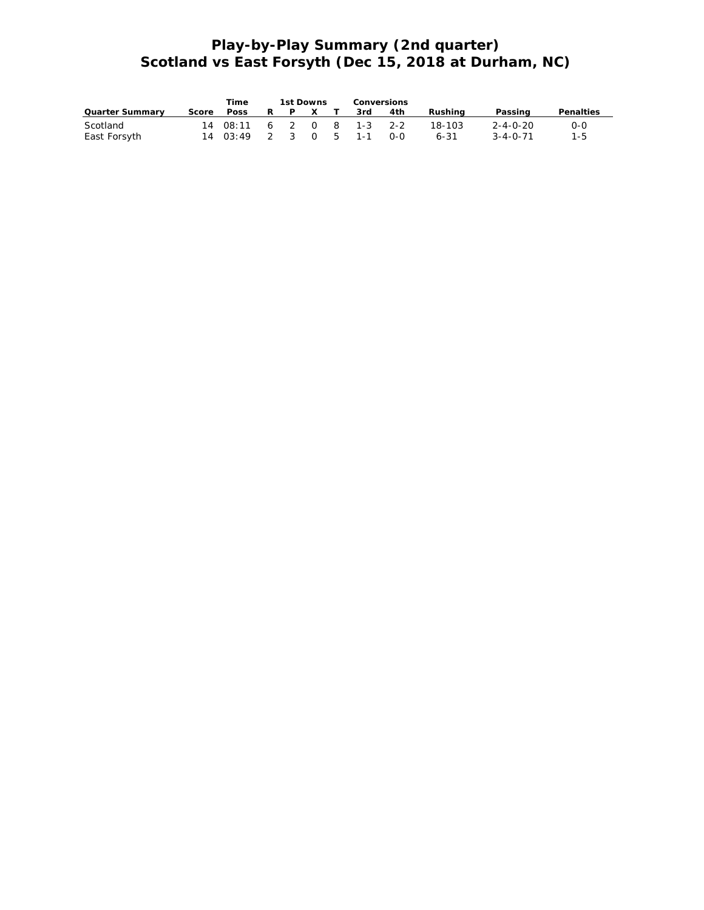# **Play-by-Play Summary (2nd quarter) Scotland vs East Forsyth (Dec 15, 2018 at Durham, NC)**

|                          |       | Time        |    | 1st Downs |              | Conversions |                                         |     |                    |                              |            |
|--------------------------|-------|-------------|----|-----------|--------------|-------------|-----------------------------------------|-----|--------------------|------------------------------|------------|
| Quarter Summary          | Score | <b>Poss</b> | R. |           | $\mathsf{X}$ |             | 3rd                                     | 4th | Rushina            | Passing                      | Penalties  |
| Scotland<br>East Forsyth |       | 14 03:49    |    |           |              |             | 14 08:11 6 2 0 8 1-3 2-2<br>2 3 0 5 1-1 | 0-0 | 18-103<br>$6 - 31$ | 2-4-0-20<br>$3 - 4 - 0 - 71$ | 0-0<br>1-5 |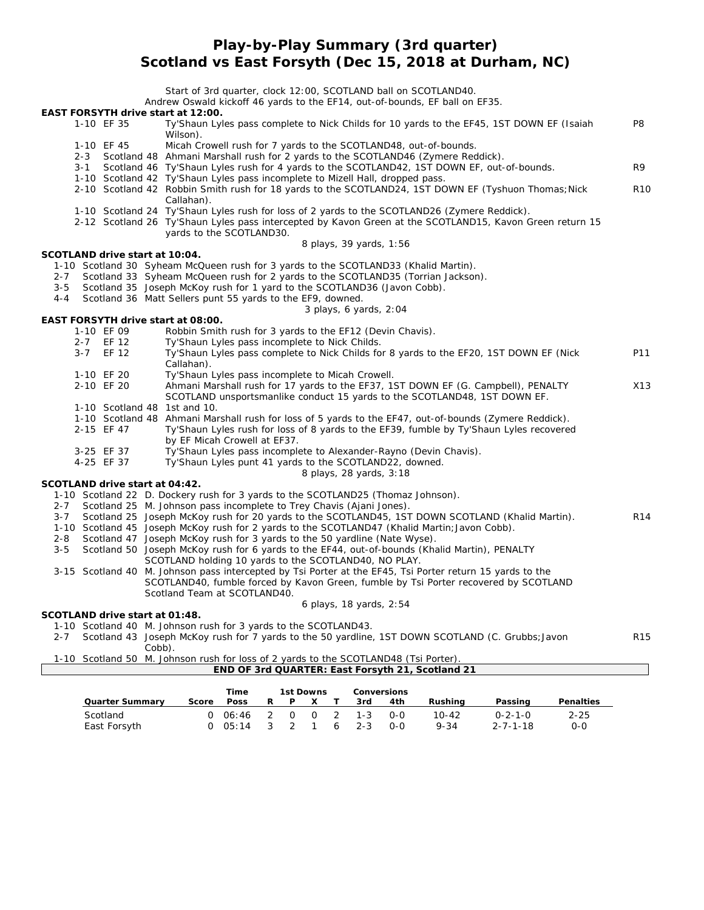## **Play-by-Play Summary (3rd quarter) Scotland vs East Forsyth (Dec 15, 2018 at Durham, NC)**

|         |         |                                |        | Start of 3rd quarter, clock 12:00, SCOTLAND ball on SCOTLAND40.<br>Andrew Oswald kickoff 46 yards to the EF14, out-of-bounds, EF ball on EF35. |                 |
|---------|---------|--------------------------------|--------|------------------------------------------------------------------------------------------------------------------------------------------------|-----------------|
|         |         |                                |        | EAST FORSYTH drive start at 12:00.                                                                                                             |                 |
|         |         | 1-10 EF 35                     |        | Ty'Shaun Lyles pass complete to Nick Childs for 10 yards to the EF45, 1ST DOWN EF (Isaiah                                                      | P <sub>8</sub>  |
|         |         |                                |        | Wilson).                                                                                                                                       |                 |
|         |         | 1-10 EF 45                     |        | Micah Crowell rush for 7 yards to the SCOTLAND48, out-of-bounds.                                                                               |                 |
|         | $2 - 3$ |                                |        | Scotland 48 Ahmani Marshall rush for 2 yards to the SCOTLAND46 (Zymere Reddick).                                                               |                 |
|         | $3 - 1$ |                                |        | Scotland 46 Ty'Shaun Lyles rush for 4 yards to the SCOTLAND42, 1ST DOWN EF, out-of-bounds.                                                     | R9              |
|         |         |                                |        | 1-10 Scotland 42 Ty'Shaun Lyles pass incomplete to Mizell Hall, dropped pass.                                                                  |                 |
|         |         |                                |        | 2-10 Scotland 42 Robbin Smith rush for 18 yards to the SCOTLAND24, 1ST DOWN EF (Tyshuon Thomas; Nick                                           | <b>R10</b>      |
|         |         |                                |        | Callahan).                                                                                                                                     |                 |
|         |         |                                |        | 1-10 Scotland 24 Ty'Shaun Lyles rush for loss of 2 yards to the SCOTLAND26 (Zymere Reddick).                                                   |                 |
|         |         |                                |        | 2-12 Scotland 26 Ty'Shaun Lyles pass intercepted by Kavon Green at the SCOTLAND15, Kavon Green return 15                                       |                 |
|         |         |                                |        | yards to the SCOTLAND30.                                                                                                                       |                 |
|         |         |                                |        | 8 plays, 39 yards, 1:56                                                                                                                        |                 |
|         |         | SCOTLAND drive start at 10:04. |        |                                                                                                                                                |                 |
|         |         |                                |        | 1-10 Scotland 30 Syheam McQueen rush for 3 yards to the SCOTLAND33 (Khalid Martin).                                                            |                 |
| $2 - 7$ |         |                                |        | Scotland 33 Syheam McQueen rush for 2 yards to the SCOTLAND35 (Torrian Jackson).                                                               |                 |
| $3 - 5$ |         |                                |        | Scotland 35 Joseph McKoy rush for 1 yard to the SCOTLAND36 (Javon Cobb).                                                                       |                 |
| $4 - 4$ |         |                                |        | Scotland 36 Matt Sellers punt 55 yards to the EF9, downed.                                                                                     |                 |
|         |         |                                |        | 3 plays, 6 yards, 2:04                                                                                                                         |                 |
|         |         |                                |        | EAST FORSYTH drive start at 08:00.                                                                                                             |                 |
|         |         | 1-10 EF 09                     |        | Robbin Smith rush for 3 yards to the EF12 (Devin Chavis).                                                                                      |                 |
|         |         | 2-7 EF 12                      |        | Ty'Shaun Lyles pass incomplete to Nick Childs.                                                                                                 |                 |
|         | $3 - 7$ | EF 12                          |        | Ty'Shaun Lyles pass complete to Nick Childs for 8 yards to the EF20, 1ST DOWN EF (Nick                                                         | P11             |
|         |         |                                |        | Callahan).                                                                                                                                     |                 |
|         |         | 1-10 EF 20                     |        | Ty'Shaun Lyles pass incomplete to Micah Crowell.                                                                                               |                 |
|         |         | 2-10 EF 20                     |        | Ahmani Marshall rush for 17 yards to the EF37, 1ST DOWN EF (G. Campbell), PENALTY                                                              | X13             |
|         |         |                                |        | SCOTLAND unsportsmanlike conduct 15 yards to the SCOTLAND48, 1ST DOWN EF.                                                                      |                 |
|         |         |                                |        | 1-10 Scotland 48 1st and 10.                                                                                                                   |                 |
|         |         |                                |        | 1-10 Scotland 48 Ahmani Marshall rush for loss of 5 yards to the EF47, out-of-bounds (Zymere Reddick).                                         |                 |
|         |         | 2-15 EF 47                     |        | Ty'Shaun Lyles rush for loss of 8 yards to the EF39, fumble by Ty'Shaun Lyles recovered                                                        |                 |
|         |         |                                |        | by EF Micah Crowell at EF37.                                                                                                                   |                 |
|         |         | 3-25 EF 37                     |        | Ty'Shaun Lyles pass incomplete to Alexander-Rayno (Devin Chavis).                                                                              |                 |
|         |         | 4-25 EF 37                     |        | Ty'Shaun Lyles punt 41 yards to the SCOTLAND22, downed.                                                                                        |                 |
|         |         |                                |        | 8 plays, 28 yards, 3:18                                                                                                                        |                 |
|         |         | SCOTLAND drive start at 04:42. |        |                                                                                                                                                |                 |
|         |         |                                |        | 1-10 Scotland 22 D. Dockery rush for 3 yards to the SCOTLAND25 (Thomaz Johnson).                                                               |                 |
| $2 - 7$ |         |                                |        | Scotland 25 M. Johnson pass incomplete to Trey Chavis (Ajani Jones).                                                                           |                 |
| $3 - 7$ |         |                                |        | Scotland 25 Joseph McKoy rush for 20 yards to the SCOTLAND45, 1ST DOWN SCOTLAND (Khalid Martin).                                               | R <sub>14</sub> |
|         |         |                                |        | 1-10 Scotland 45 Joseph McKoy rush for 2 yards to the SCOTLAND47 (Khalid Martin; Javon Cobb).                                                  |                 |
| $2 - 8$ |         |                                |        | Scotland 47 Joseph McKoy rush for 3 yards to the 50 yardline (Nate Wyse).                                                                      |                 |
| $3 - 5$ |         |                                |        | Scotland 50 Joseph McKoy rush for 6 yards to the EF44, out-of-bounds (Khalid Martin), PENALTY                                                  |                 |
|         |         |                                |        | SCOTLAND holding 10 yards to the SCOTLAND40, NO PLAY.                                                                                          |                 |
|         |         |                                |        | 3-15 Scotland 40 M. Johnson pass intercepted by Tsi Porter at the EF45, Tsi Porter return 15 yards to the                                      |                 |
|         |         |                                |        | SCOTLAND40, fumble forced by Kavon Green, fumble by Tsi Porter recovered by SCOTLAND                                                           |                 |
|         |         |                                |        | Scotland Team at SCOTLAND40.                                                                                                                   |                 |
|         |         |                                |        | 6 plays, 18 yards, 2:54                                                                                                                        |                 |
|         |         | SCOTLAND drive start at 01:48. |        |                                                                                                                                                |                 |
|         |         |                                |        | 1-10 Scotland 40 M. Johnson rush for 3 yards to the SCOTLAND43.                                                                                |                 |
| $2 - 7$ |         |                                |        | Scotland 43 Joseph McKoy rush for 7 yards to the 50 yardline, 1ST DOWN SCOTLAND (C. Grubbs; Javon                                              | R <sub>15</sub> |
|         |         |                                | Cobb). |                                                                                                                                                |                 |

1-10 Scotland 50 M. Johnson rush for loss of 2 yards to the SCOTLAND48 (Tsi Porter).

| END OF 3rd QUARTER: East Forsyth 21, Scotland 21 | $1 - 1U$ |  |  |  |  |
|--------------------------------------------------|----------|--|--|--|--|
|                                                  |          |  |  |  |  |

|                          |       | Time               |     | 1st Downs  |  |   | Conversions      |                   |                   |                                     |                   |
|--------------------------|-------|--------------------|-----|------------|--|---|------------------|-------------------|-------------------|-------------------------------------|-------------------|
| Quarter Summary          | Score | Poss               | R   |            |  |   | 3rd              | 4th               | Rushina           | Passing                             | Penalties         |
| Scotland<br>East Forsyth |       | 0 06:46<br>0.05:14 | - 3 | $0\quad 0$ |  | 2 | $1 - 3$<br>6 2-3 | റ-റ<br><u>ດ-ດ</u> | 10-42<br>$9 - 34$ | $0 - 2 - 1 - 0$<br>$2 - 7 - 1 - 18$ | $2 - 25$<br>$0-0$ |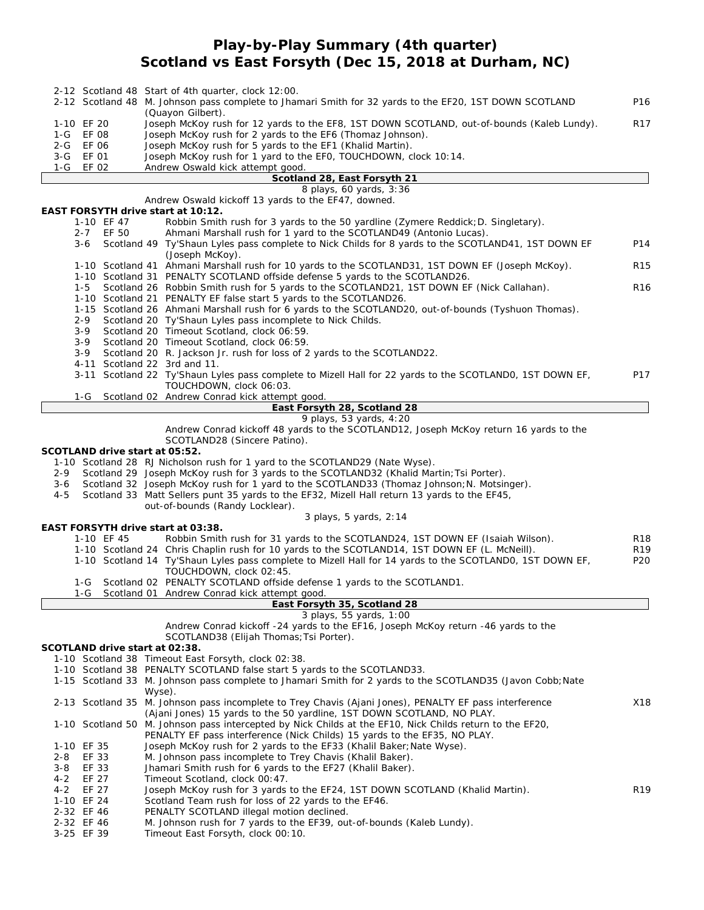## **Play-by-Play Summary (4th quarter) Scotland vs East Forsyth (Dec 15, 2018 at Durham, NC)**

|                |                |            | 2-12 Scotland 48 Start of 4th quarter, clock 12:00.<br>2-12 Scotland 48 M. Johnson pass complete to Jhamari Smith for 32 yards to the EF20, 1ST DOWN SCOTLAND                          | P <sub>16</sub> |  |  |  |  |  |  |  |  |
|----------------|----------------|------------|----------------------------------------------------------------------------------------------------------------------------------------------------------------------------------------|-----------------|--|--|--|--|--|--|--|--|
|                | 1-10 EF 20     |            | (Quayon Gilbert).<br>Joseph McKoy rush for 12 yards to the EF8, 1ST DOWN SCOTLAND, out-of-bounds (Kaleb Lundy).                                                                        |                 |  |  |  |  |  |  |  |  |
|                | 1-G EF 08      |            | Joseph McKoy rush for 2 yards to the EF6 (Thomaz Johnson).                                                                                                                             |                 |  |  |  |  |  |  |  |  |
|                | 2-G EF 06      |            | Joseph McKoy rush for 5 yards to the EF1 (Khalid Martin).                                                                                                                              |                 |  |  |  |  |  |  |  |  |
| 3-G<br>1-G     | EF 01<br>EF 02 |            | Joseph McKoy rush for 1 yard to the EF0, TOUCHDOWN, clock 10:14.<br>Andrew Oswald kick attempt good.                                                                                   |                 |  |  |  |  |  |  |  |  |
|                |                |            | Scotland 28, East Forsyth 21                                                                                                                                                           |                 |  |  |  |  |  |  |  |  |
|                |                |            | 8 plays, 60 yards, 3:36                                                                                                                                                                |                 |  |  |  |  |  |  |  |  |
|                |                |            | Andrew Oswald kickoff 13 yards to the EF47, downed.<br>EAST FORSYTH drive start at 10:12.                                                                                              |                 |  |  |  |  |  |  |  |  |
|                |                | 1-10 EF 47 | Robbin Smith rush for 3 yards to the 50 yardline (Zymere Reddick; D. Singletary).                                                                                                      |                 |  |  |  |  |  |  |  |  |
|                | $2 - 7$        | EF 50      | Ahmani Marshall rush for 1 yard to the SCOTLAND49 (Antonio Lucas).                                                                                                                     |                 |  |  |  |  |  |  |  |  |
|                | 3-6            |            | Scotland 49 Ty'Shaun Lyles pass complete to Nick Childs for 8 yards to the SCOTLAND41, 1ST DOWN EF                                                                                     | P14             |  |  |  |  |  |  |  |  |
|                |                |            | (Joseph McKoy).<br>1-10 Scotland 41 Ahmani Marshall rush for 10 yards to the SCOTLAND31, 1ST DOWN EF (Joseph McKoy).                                                                   | R <sub>15</sub> |  |  |  |  |  |  |  |  |
|                |                |            | 1-10 Scotland 31 PENALTY SCOTLAND offside defense 5 yards to the SCOTLAND26.                                                                                                           |                 |  |  |  |  |  |  |  |  |
|                | 1-5            |            | Scotland 26 Robbin Smith rush for 5 yards to the SCOTLAND21, 1ST DOWN EF (Nick Callahan).                                                                                              | R <sub>16</sub> |  |  |  |  |  |  |  |  |
|                |                |            | 1-10 Scotland 21 PENALTY EF false start 5 yards to the SCOTLAND26.                                                                                                                     |                 |  |  |  |  |  |  |  |  |
|                | 2-9            |            | 1-15 Scotland 26 Ahmani Marshall rush for 6 yards to the SCOTLAND20, out-of-bounds (Tyshuon Thomas).<br>Scotland 20 Ty'Shaun Lyles pass incomplete to Nick Childs.                     |                 |  |  |  |  |  |  |  |  |
|                | $3 - 9$        |            | Scotland 20 Timeout Scotland, clock 06:59.                                                                                                                                             |                 |  |  |  |  |  |  |  |  |
|                | 3-9            |            | Scotland 20 Timeout Scotland, clock 06:59.                                                                                                                                             |                 |  |  |  |  |  |  |  |  |
|                | 3-9            |            | Scotland 20 R. Jackson Jr. rush for loss of 2 yards to the SCOTLAND22.                                                                                                                 |                 |  |  |  |  |  |  |  |  |
|                |                |            | 4-11 Scotland 22 3rd and 11.<br>3-11 Scotland 22 Ty'Shaun Lyles pass complete to Mizell Hall for 22 yards to the SCOTLANDO, 1ST DOWN EF,                                               | P17             |  |  |  |  |  |  |  |  |
|                |                |            | TOUCHDOWN, clock 06:03.                                                                                                                                                                |                 |  |  |  |  |  |  |  |  |
|                | 1-G            |            | Scotland 02 Andrew Conrad kick attempt good.                                                                                                                                           |                 |  |  |  |  |  |  |  |  |
|                |                |            | East Forsyth 28, Scotland 28                                                                                                                                                           |                 |  |  |  |  |  |  |  |  |
|                |                |            | 9 plays, 53 yards, 4:20<br>Andrew Conrad kickoff 48 yards to the SCOTLAND12, Joseph McKoy return 16 yards to the                                                                       |                 |  |  |  |  |  |  |  |  |
|                |                |            | SCOTLAND28 (Sincere Patino).                                                                                                                                                           |                 |  |  |  |  |  |  |  |  |
|                |                |            | SCOTLAND drive start at 05:52.                                                                                                                                                         |                 |  |  |  |  |  |  |  |  |
|                |                |            | 1-10 Scotland 28 RJ Nicholson rush for 1 yard to the SCOTLAND29 (Nate Wyse).                                                                                                           |                 |  |  |  |  |  |  |  |  |
| 2-9<br>3-6     |                |            | Scotland 29 Joseph McKoy rush for 3 yards to the SCOTLAND32 (Khalid Martin; Tsi Porter).<br>Scotland 32 Joseph McKoy rush for 1 yard to the SCOTLAND33 (Thomaz Johnson; N. Motsinger). |                 |  |  |  |  |  |  |  |  |
| $4 - 5$        |                |            | Scotland 33 Matt Sellers punt 35 yards to the EF32, Mizell Hall return 13 yards to the EF45,                                                                                           |                 |  |  |  |  |  |  |  |  |
|                |                |            | out-of-bounds (Randy Locklear).                                                                                                                                                        |                 |  |  |  |  |  |  |  |  |
|                |                |            | 3 plays, 5 yards, 2:14                                                                                                                                                                 |                 |  |  |  |  |  |  |  |  |
|                |                | 1-10 EF 45 | EAST FORSYTH drive start at 03:38.                                                                                                                                                     | <b>R18</b>      |  |  |  |  |  |  |  |  |
|                |                |            | Robbin Smith rush for 31 yards to the SCOTLAND24, 1ST DOWN EF (Isaiah Wilson).<br>1-10 Scotland 24 Chris Chaplin rush for 10 yards to the SCOTLAND14, 1ST DOWN EF (L. McNeill).        | R <sub>19</sub> |  |  |  |  |  |  |  |  |
|                |                |            | 1-10 Scotland 14 Ty'Shaun Lyles pass complete to Mizell Hall for 14 yards to the SCOTLANDO, 1ST DOWN EF,                                                                               | P <sub>20</sub> |  |  |  |  |  |  |  |  |
|                |                |            | TOUCHDOWN, clock 02:45.                                                                                                                                                                |                 |  |  |  |  |  |  |  |  |
|                | 1-G            |            | Scotland 02 PENALTY SCOTLAND offside defense 1 yards to the SCOTLAND1.                                                                                                                 |                 |  |  |  |  |  |  |  |  |
|                |                |            | 1-G Scotland 01 Andrew Conrad kick attempt good.<br>East Forsyth 35, Scotland 28                                                                                                       |                 |  |  |  |  |  |  |  |  |
|                |                |            | 3 plays, 55 yards, 1:00                                                                                                                                                                |                 |  |  |  |  |  |  |  |  |
|                |                |            | Andrew Conrad kickoff -24 yards to the EF16, Joseph McKoy return -46 yards to the                                                                                                      |                 |  |  |  |  |  |  |  |  |
|                |                |            | SCOTLAND38 (Elijah Thomas; Tsi Porter).                                                                                                                                                |                 |  |  |  |  |  |  |  |  |
|                |                |            | SCOTLAND drive start at 02:38.<br>1-10 Scotland 38 Timeout East Forsyth, clock 02:38.                                                                                                  |                 |  |  |  |  |  |  |  |  |
|                |                |            | 1-10 Scotland 38 PENALTY SCOTLAND false start 5 yards to the SCOTLAND33.                                                                                                               |                 |  |  |  |  |  |  |  |  |
|                |                |            | 1-15 Scotland 33 M. Johnson pass complete to Jhamari Smith for 2 yards to the SCOTLAND35 (Javon Cobb; Nate                                                                             |                 |  |  |  |  |  |  |  |  |
|                |                |            | Wyse).                                                                                                                                                                                 |                 |  |  |  |  |  |  |  |  |
|                |                |            | 2-13 Scotland 35 M. Johnson pass incomplete to Trey Chavis (Ajani Jones), PENALTY EF pass interference                                                                                 | X18             |  |  |  |  |  |  |  |  |
|                |                |            | (Ajani Jones) 15 yards to the 50 yardline, 1ST DOWN SCOTLAND, NO PLAY.<br>1-10 Scotland 50 M. Johnson pass intercepted by Nick Childs at the EF10, Nick Childs return to the EF20,     |                 |  |  |  |  |  |  |  |  |
|                |                |            | PENALTY EF pass interference (Nick Childs) 15 yards to the EF35, NO PLAY.                                                                                                              |                 |  |  |  |  |  |  |  |  |
|                | 1-10 EF 35     |            | Joseph McKoy rush for 2 yards to the EF33 (Khalil Baker; Nate Wyse).                                                                                                                   |                 |  |  |  |  |  |  |  |  |
| 2-8            | EF 33          |            | M. Johnson pass incomplete to Trey Chavis (Khalil Baker).                                                                                                                              |                 |  |  |  |  |  |  |  |  |
| 3-8<br>$4 - 2$ | EF 33<br>EF 27 |            | Jhamari Smith rush for 6 yards to the EF27 (Khalil Baker).<br>Timeout Scotland, clock 00:47.                                                                                           |                 |  |  |  |  |  |  |  |  |
| $4 - 2$        | EF 27          |            | Joseph McKoy rush for 3 yards to the EF24, 1ST DOWN SCOTLAND (Khalid Martin).                                                                                                          | R <sub>19</sub> |  |  |  |  |  |  |  |  |
|                | 1-10 EF 24     |            | Scotland Team rush for loss of 22 yards to the EF46.                                                                                                                                   |                 |  |  |  |  |  |  |  |  |
|                | 2-32 EF 46     |            | PENALTY SCOTLAND illegal motion declined.                                                                                                                                              |                 |  |  |  |  |  |  |  |  |
|                | 2-32 EF 46     |            | M. Johnson rush for 7 yards to the EF39, out-of-bounds (Kaleb Lundy).                                                                                                                  |                 |  |  |  |  |  |  |  |  |
|                | 3-25 EF 39     |            | Timeout East Forsyth, clock 00:10.                                                                                                                                                     |                 |  |  |  |  |  |  |  |  |